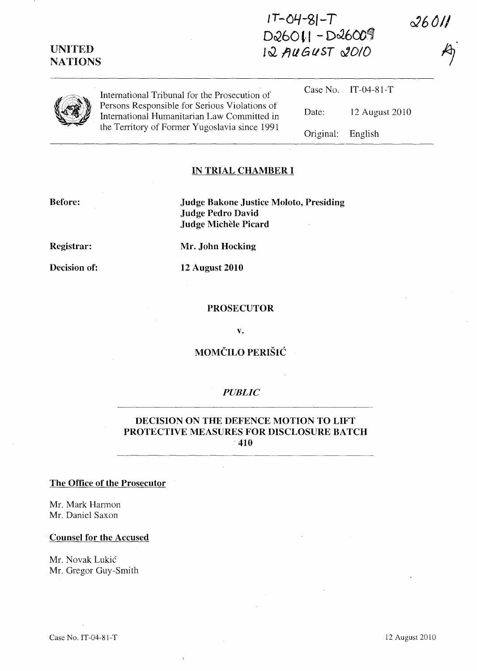**IT-C4-SI-***T*  **DcQ60 ,., -** *DcJ.6ttil* 

 $12$  AUGUST 2010

| <b>UITLE ED</b><br><b>NATIONS</b> |  |  |
|-----------------------------------|--|--|
|                                   |  |  |

| International Tribunal for the Prosecution of                                                                                                 |                   | Case No. IT-04-81-T |
|-----------------------------------------------------------------------------------------------------------------------------------------------|-------------------|---------------------|
| Persons Responsible for Serious Violations of<br>International Humanitarian Law Committed in<br>the Territory of Former Yugoslavia since 1991 | Date:             | 12 August 2010      |
|                                                                                                                                               | Original: English |                     |

## **IN TRIAL CHAMBER I**

### **Before:**

**UNITED** 

**Judge Bakone Justice Moloto, Presiding Judge Pedro David Judge MicheIe Picard** 

**Registrar:** 

**Decision of:** 

**Mr. John Hocking** 

**12 August 2010** 

#### **PROSECUTOR**

**v.** 

## **MOMCILO PERISH:**

## *PUBLIC*

### **DECISION ON THE DEFENCE MOTION TO LIFT PROTECTIVE MEASURES FOR DISCLOSURE BATCH 410**

#### **The Office of the Prosecutor**

Mr. Mark Harmon Mr. Daniel Saxon

#### **Counsel for the Accused**

Mr. Novak Lukic Mr. Gregor Guy-Smith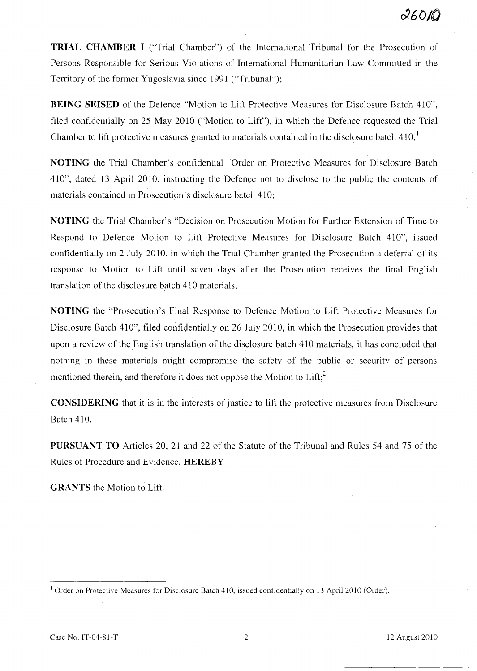**TRIAL CHAMBER I** ("Trial Chamber") of the International Tribunal for the Prosecution of Persons Responsible for Serious Violations of International Humanitarian Law Committed in the Territory of the former Yugoslavia since 1991 ("Tribunal");

**BEING SEISED** of the Defence "Motion to Lift Protective Measures for Disclosure Batch 410", filed confidentially on 25 May 2010 ("Motion to Lift"), in which the Defence requested the Trial Chamber to lift protective measures granted to materials contained in the disclosure batch  $410$ ;

**NOTING** the Trial Chamber's confidential "Order on Protective Measures for Disclosure Batch 410", dated 13 April 2010, instructing the Defence not to disclose to the public the contents of materials contained in Prosecution's disclosure batch 410;

**NOTING** the Trial Chamber's "Decision on Prosecution Motion for Further Extension of Time to Respond to Defence Motion to Lift Protective Measures for Disclosure Batch 410", issued confidentially on 2 July 2010, in which the Trial Chamber granted the Prosecution a deferral of its response to Motion to Lift until seven days after the Prosecution receives the final English translation of the disclosure batch 410 materials;

**NOTING** the "Prosecution's Final Response to Defence Motion to Lift Protective Measures for Disclosure Batch 410", filed confidentially on 26 July 2010, in which the Prosecution provides that upon a review of the English translation of the disclosure batch 410 materials, it has concluded that nothing in these materials might compromise the safety of the public or security of persons mentioned therein, and therefore it does not oppose the Motion to  $\text{Lift:}^2$ 

**CONSIDERING** that it is in the interests of justice to lift the protective measures from Disclosure Batch 410.

**PURSUANT TO** Articles 20, 21 and 22 of the Statute of the Tribunal and Rules 54 and 75 of the Rules of Procedure and Evidence, **HEREBY** 

**GRANTS** the Motion to Lift.

<sup>&</sup>lt;sup>1</sup> Order on Protective Measures for Disclosure Batch 410, issued confidentially on 13 April 2010 (Order).